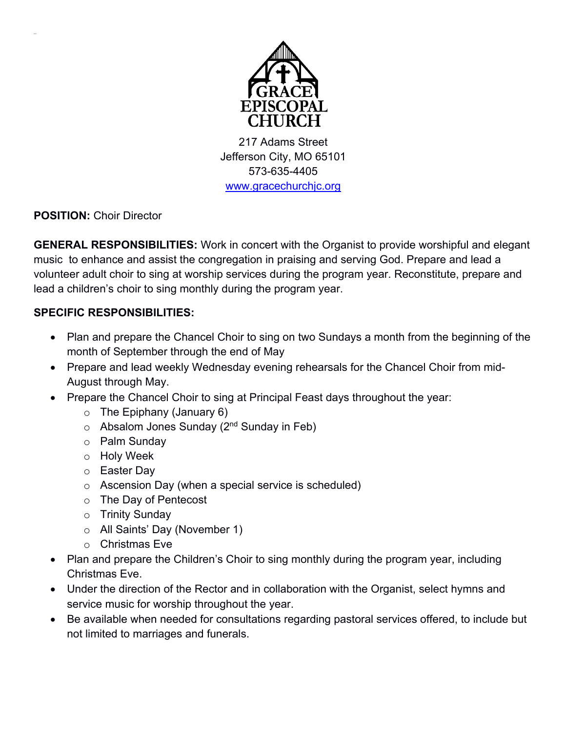

217 Adams Street Jefferson City, MO 65101 573-635-4405 www.gracechurchjc.org

**POSITION:** Choir Director

**GENERAL RESPONSIBILITIES:** Work in concert with the Organist to provide worshipful and elegant music to enhance and assist the congregation in praising and serving God. Prepare and lead a volunteer adult choir to sing at worship services during the program year. Reconstitute, prepare and lead a children's choir to sing monthly during the program year.

## **SPECIFIC RESPONSIBILITIES:**

- Plan and prepare the Chancel Choir to sing on two Sundays a month from the beginning of the month of September through the end of May
- Prepare and lead weekly Wednesday evening rehearsals for the Chancel Choir from mid-August through May.
- Prepare the Chancel Choir to sing at Principal Feast days throughout the year:
	- $\circ$  The Epiphany (January 6)
	- $\circ$  Absalom Jones Sunday (2<sup>nd</sup> Sunday in Feb)
	- o Palm Sunday
	- o Holy Week
	- o Easter Day
	- o Ascension Day (when a special service is scheduled)
	- o The Day of Pentecost
	- o Trinity Sunday
	- o All Saints' Day (November 1)
	- o Christmas Eve
- Plan and prepare the Children's Choir to sing monthly during the program year, including Christmas Eve.
- Under the direction of the Rector and in collaboration with the Organist, select hymns and service music for worship throughout the year.
- Be available when needed for consultations regarding pastoral services offered, to include but not limited to marriages and funerals.